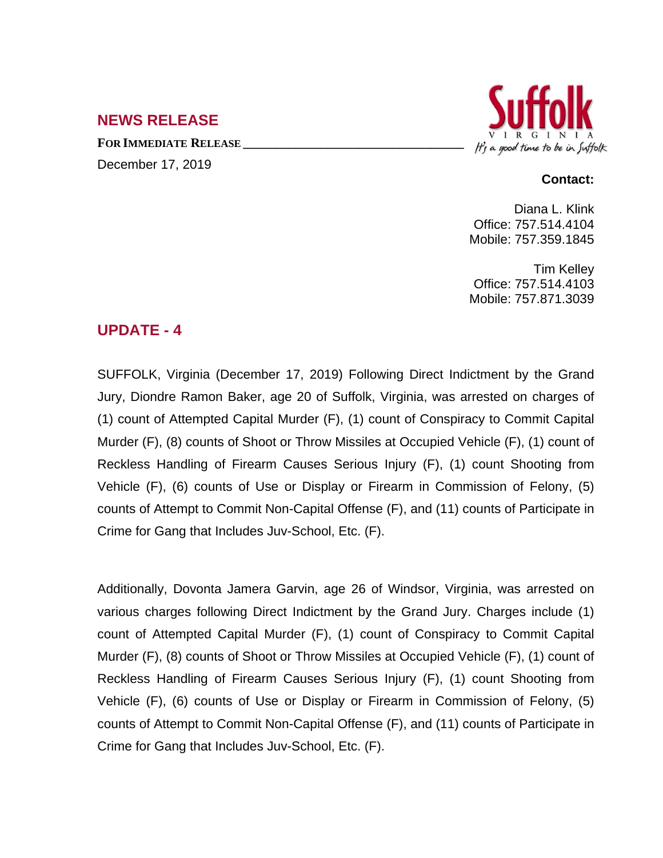### **NEWS RELEASE**

**FOR IMMEDIATE RELEASE \_\_\_\_\_\_\_\_\_\_\_\_\_\_\_\_\_\_\_\_\_\_\_\_\_\_\_\_\_\_\_\_\_\_**





#### **Contact:**

Diana L. Klink Office: 757.514.4104 Mobile: 757.359.1845

Tim Kelley Office: 757.514.4103 Mobile: 757.871.3039

### **UPDATE - 4**

SUFFOLK, Virginia (December 17, 2019) Following Direct Indictment by the Grand Jury, Diondre Ramon Baker, age 20 of Suffolk, Virginia, was arrested on charges of (1) count of Attempted Capital Murder (F), (1) count of Conspiracy to Commit Capital Murder (F), (8) counts of Shoot or Throw Missiles at Occupied Vehicle (F), (1) count of Reckless Handling of Firearm Causes Serious Injury (F), (1) count Shooting from Vehicle (F), (6) counts of Use or Display or Firearm in Commission of Felony, (5) counts of Attempt to Commit Non-Capital Offense (F), and (11) counts of Participate in Crime for Gang that Includes Juv-School, Etc. (F).

Additionally, Dovonta Jamera Garvin, age 26 of Windsor, Virginia, was arrested on various charges following Direct Indictment by the Grand Jury. Charges include (1) count of Attempted Capital Murder (F), (1) count of Conspiracy to Commit Capital Murder (F), (8) counts of Shoot or Throw Missiles at Occupied Vehicle (F), (1) count of Reckless Handling of Firearm Causes Serious Injury (F), (1) count Shooting from Vehicle (F), (6) counts of Use or Display or Firearm in Commission of Felony, (5) counts of Attempt to Commit Non-Capital Offense (F), and (11) counts of Participate in Crime for Gang that Includes Juv-School, Etc. (F).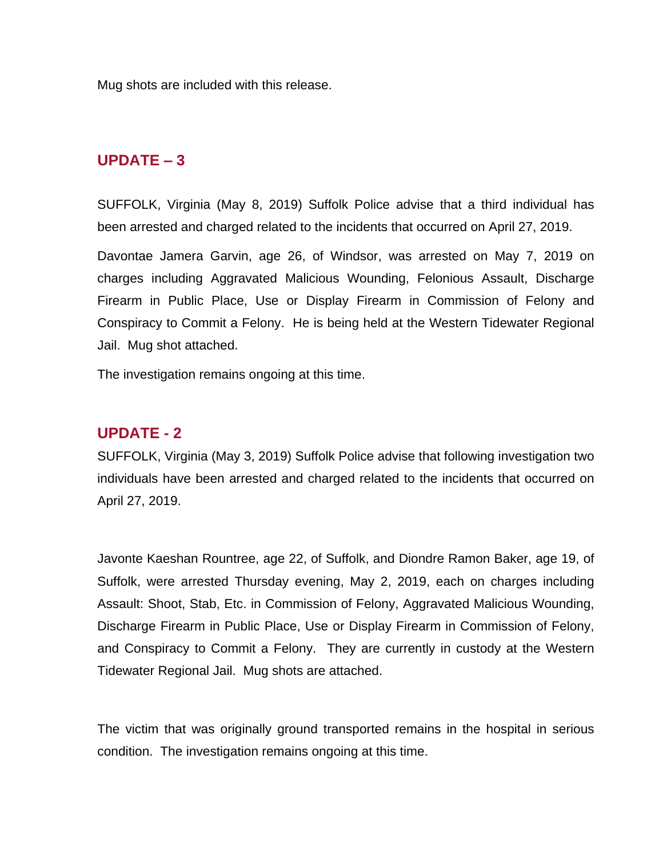Mug shots are included with this release.

### **UPDATE – 3**

SUFFOLK, Virginia (May 8, 2019) Suffolk Police advise that a third individual has been arrested and charged related to the incidents that occurred on April 27, 2019.

Davontae Jamera Garvin, age 26, of Windsor, was arrested on May 7, 2019 on charges including Aggravated Malicious Wounding, Felonious Assault, Discharge Firearm in Public Place, Use or Display Firearm in Commission of Felony and Conspiracy to Commit a Felony. He is being held at the Western Tidewater Regional Jail. Mug shot attached.

The investigation remains ongoing at this time.

#### **UPDATE - 2**

SUFFOLK, Virginia (May 3, 2019) Suffolk Police advise that following investigation two individuals have been arrested and charged related to the incidents that occurred on April 27, 2019.

Javonte Kaeshan Rountree, age 22, of Suffolk, and Diondre Ramon Baker, age 19, of Suffolk, were arrested Thursday evening, May 2, 2019, each on charges including Assault: Shoot, Stab, Etc. in Commission of Felony, Aggravated Malicious Wounding, Discharge Firearm in Public Place, Use or Display Firearm in Commission of Felony, and Conspiracy to Commit a Felony. They are currently in custody at the Western Tidewater Regional Jail. Mug shots are attached.

The victim that was originally ground transported remains in the hospital in serious condition. The investigation remains ongoing at this time.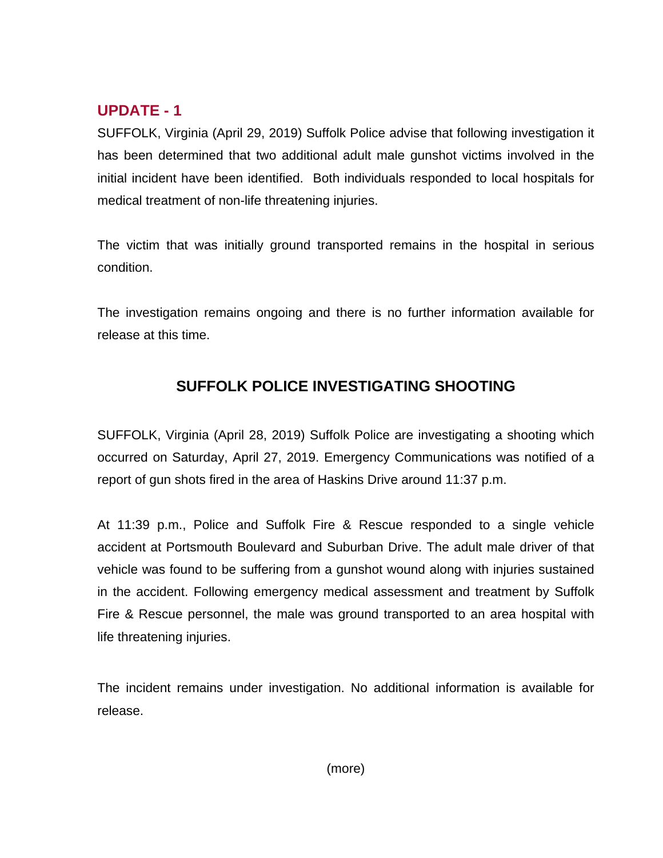# **UPDATE - 1**

SUFFOLK, Virginia (April 29, 2019) Suffolk Police advise that following investigation it has been determined that two additional adult male gunshot victims involved in the initial incident have been identified. Both individuals responded to local hospitals for medical treatment of non-life threatening injuries.

The victim that was initially ground transported remains in the hospital in serious condition.

The investigation remains ongoing and there is no further information available for release at this time.

# **SUFFOLK POLICE INVESTIGATING SHOOTING**

SUFFOLK, Virginia (April 28, 2019) Suffolk Police are investigating a shooting which occurred on Saturday, April 27, 2019. Emergency Communications was notified of a report of gun shots fired in the area of Haskins Drive around 11:37 p.m.

At 11:39 p.m., Police and Suffolk Fire & Rescue responded to a single vehicle accident at Portsmouth Boulevard and Suburban Drive. The adult male driver of that vehicle was found to be suffering from a gunshot wound along with injuries sustained in the accident. Following emergency medical assessment and treatment by Suffolk Fire & Rescue personnel, the male was ground transported to an area hospital with life threatening injuries.

The incident remains under investigation. No additional information is available for release.

(more)